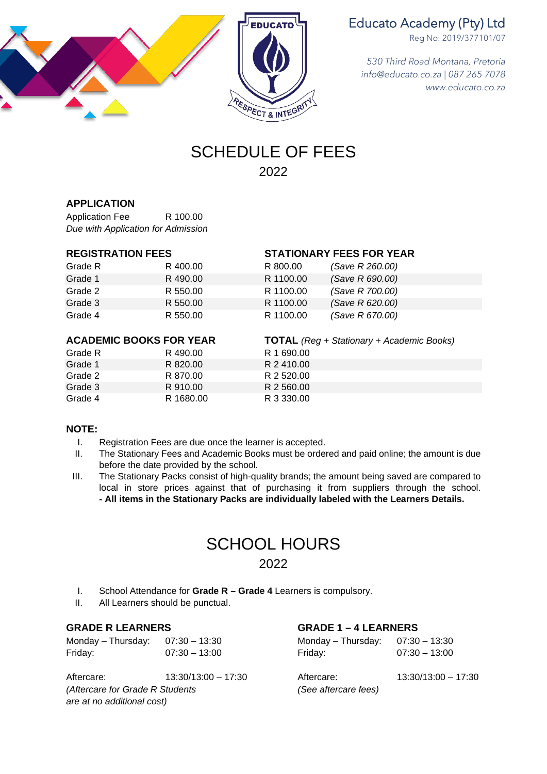

## Educato Academy (Pty) Ltd

Reg No: 2019/377101/07

*530 Third Road Montana, Pretoria info@educato.co.za | 087 265 7078 www.educato.co.za*

## SCHEDULE OF FEES 2022

## **APPLICATION**

Application Fee R 100.00 *Due with Application for Admission*

| Grade R | R 400.00 | R 800.00  | (Save R 260.00) |
|---------|----------|-----------|-----------------|
| Grade 1 | R 490.00 | R 1100.00 | (Save R 690.00) |
| Grade 2 | R 550.00 | R 1100.00 | (Save R 700.00) |
| Grade 3 | R 550.00 | R 1100.00 | (Save R 620.00) |
| Grade 4 | R 550.00 | R 1100.00 | (Save R 670.00) |

## **ACADEMIC BOOKS FOR YEAR TOTAL** *(Reg + Stationary + Academic Books)*

|         |           | . <del>.</del> |
|---------|-----------|----------------|
| Grade R | R 490.00  | R 1 690.00     |
| Grade 1 | R 820.00  | R 2410.00      |
| Grade 2 | R 870.00  | R 2 520.00     |
| Grade 3 | R 910.00  | R 2 560.00     |
| Grade 4 | R 1680.00 | R 3 330.00     |
|         |           |                |

## **REGISTRATION FEES STATIONARY FEES FOR YEAR**

| (Save R 260.00) |
|-----------------|
| (Save R 690.00) |
| (Save R 700.00) |
| (Save R 620.00) |
| (Save R 670.00) |
|                 |

## **NOTE:**

- I. Registration Fees are due once the learner is accepted.
- II. The Stationary Fees and Academic Books must be ordered and paid online; the amount is due before the date provided by the school.
- III. The Stationary Packs consist of high-quality brands; the amount being saved are compared to local in store prices against that of purchasing it from suppliers through the school. **- All items in the Stationary Packs are individually labeled with the Learners Details.**

## SCHOOL HOURS 2022

- I. School Attendance for **Grade R – Grade 4** Learners is compulsory.
- II. All Learners should be punctual.

**GRADE R LEARNERS**<br> **Mondav** – Thursdav: 07:30 – 13:30 **Monday – Thursday: 07:30** Friday: 07:30 – 13:00 Friday: 07:30 – 13:00

Aftercare: 13:30/13:00 – 17:30 Aftercare: 13:30/13:00 – 17:30 *(Aftercare for Grade R Students (See aftercare fees) are at no additional cost)*

Monday – Thursday: 07:30 – 13:30 Monday – Thursday: 07:30 – 13:30